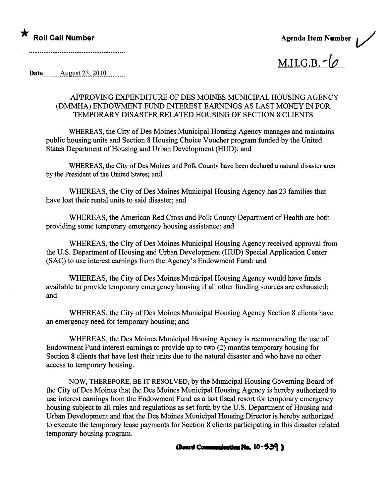

 $M.H.G.B. - (0$ 

Date \_\_\_\_\_\_\_ August 23, 2010 \_\_\_\_\_\_\_

## APPROVING EXPENDITURE OF DES MOINES MUNICIPAL HOUSING AGENCY (DMMHA) ENDOWMENT FUND INTEREST EARNINGS AS LAST MONEY IN FOR TEMPORAY DISASTER RELATED HOUSING OF SECTION 8 CLIENTS

WHEREAS, the City of Des Moines Municipal Housing Agency manages and maintains public housing unts and Section 8 Housing Choice Voucher program fuded by the United States Department of Housing and Urban Development (HUD); and

WHREAS, the City of Des Moines and Polk County have been declared a natural disaster area by the President of the United States; and

WHEREAS, the City of Des Moines Municipal Housing Agency has 23 families that have lost their rental units to said disaster; and

WHEREAS, the American Red Cross and Polk County Deparment of Health are both providing some temporary emergency housing assistance; and

WHEREAS, the City of Des Moines Municipal Housing Agency received approval from the U.S. Deparment of Housing and Urban Development (RUD) Special Application Center (SAC) to use interest earnings from the Agency's Endowment Fund; and

WHEREAS, the City of Des Moines Municipal Housing Agency would have funds available to provide temporary emergency housing if all other funding sources are exhausted; and

WHEREAS, the City of Des Moines Municipal Housing Agency Section 8 clients have an emergency need for temporary housing; and

WHEREAS, the Des Moines Municipal Housing Agency is recommending the use of Endowment Fund interest earnings to provide up to two (2) months temporary housing for Section 8 clients that have lost their units due to the natural disaster and who have no other access to temporary housing.

NOW, THEREFORE, BE IT RESOLVED, by the Municipal Housing Governng Board of the City of Des Moines that the Des Moines Muncipal Housing Agency is hereby authorized to use interest earnings from the Endowment Fund as a last fiscal resort for temporary emergency housing subject to all rules and regulations as set forth by the U.S. Deparment of Housing and Urban Development and that the Des Moines Municipal Housing Director is hereby authorized to execute the temporary lease payments for Section 8 clients participating in this disaster related temporary housing program.

(Board Communication No.  $10-539$ )